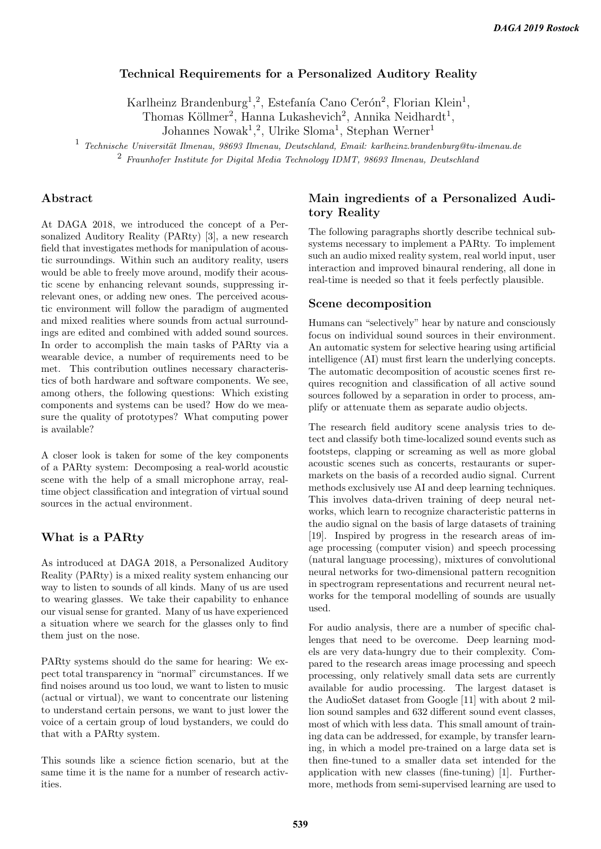## Technical Requirements for a Personalized Auditory Reality

Karlheinz Brandenburg<sup>1</sup>,<sup>2</sup>, Estefanía Cano Cerón<sup>2</sup>, Florian Klein<sup>1</sup>,

Thomas Köllmer<sup>2</sup>, Hanna Lukashevich<sup>2</sup>, Annika Neidhardt<sup>1</sup>,

Johannes Nowak<sup>1</sup>,<sup>2</sup>, Ulrike Sloma<sup>1</sup>, Stephan Werner<sup>1</sup>

 $1$  Technische Universität Ilmenau, 98693 Ilmenau, Deutschland, Email: karlheinz.brandenburg@tu-ilmenau.de <sup>2</sup> Fraunhofer Institute for Digital Media Technology IDMT, 98693 Ilmenau, Deutschland

#### Abstract

At DAGA 2018, we introduced the concept of a Personalized Auditory Reality (PARty) [3], a new research field that investigates methods for manipulation of acoustic surroundings. Within such an auditory reality, users would be able to freely move around, modify their acoustic scene by enhancing relevant sounds, suppressing irrelevant ones, or adding new ones. The perceived acoustic environment will follow the paradigm of augmented and mixed realities where sounds from actual surroundings are edited and combined with added sound sources. In order to accomplish the main tasks of PARty via a wearable device, a number of requirements need to be met. This contribution outlines necessary characteristics of both hardware and software components. We see, among others, the following questions: Which existing components and systems can be used? How do we measure the quality of prototypes? What computing power is available?

A closer look is taken for some of the key components of a PARty system: Decomposing a real-world acoustic scene with the help of a small microphone array, realtime object classification and integration of virtual sound sources in the actual environment.

### What is a PARty

As introduced at DAGA 2018, a Personalized Auditory Reality (PARty) is a mixed reality system enhancing our way to listen to sounds of all kinds. Many of us are used to wearing glasses. We take their capability to enhance our visual sense for granted. Many of us have experienced a situation where we search for the glasses only to find them just on the nose.

PARty systems should do the same for hearing: We expect total transparency in "normal" circumstances. If we find noises around us too loud, we want to listen to music (actual or virtual), we want to concentrate our listening to understand certain persons, we want to just lower the voice of a certain group of loud bystanders, we could do that with a PARty system.

This sounds like a science fiction scenario, but at the same time it is the name for a number of research activities.

### Main ingredients of a Personalized Auditory Reality

The following paragraphs shortly describe technical subsystems necessary to implement a PARty. To implement such an audio mixed reality system, real world input, user interaction and improved binaural rendering, all done in real-time is needed so that it feels perfectly plausible.

#### Scene decomposition

Humans can "selectively" hear by nature and consciously focus on individual sound sources in their environment. An automatic system for selective hearing using artificial intelligence (AI) must first learn the underlying concepts. The automatic decomposition of acoustic scenes first requires recognition and classification of all active sound sources followed by a separation in order to process, amplify or attenuate them as separate audio objects.

The research field auditory scene analysis tries to detect and classify both time-localized sound events such as footsteps, clapping or screaming as well as more global acoustic scenes such as concerts, restaurants or supermarkets on the basis of a recorded audio signal. Current methods exclusively use AI and deep learning techniques. This involves data-driven training of deep neural networks, which learn to recognize characteristic patterns in the audio signal on the basis of large datasets of training [19]. Inspired by progress in the research areas of image processing (computer vision) and speech processing (natural language processing), mixtures of convolutional neural networks for two-dimensional pattern recognition in spectrogram representations and recurrent neural networks for the temporal modelling of sounds are usually used.

For audio analysis, there are a number of specific challenges that need to be overcome. Deep learning models are very data-hungry due to their complexity. Compared to the research areas image processing and speech processing, only relatively small data sets are currently available for audio processing. The largest dataset is the AudioSet dataset from Google [11] with about 2 million sound samples and 632 different sound event classes, most of which with less data. This small amount of training data can be addressed, for example, by transfer learning, in which a model pre-trained on a large data set is then fine-tuned to a smaller data set intended for the application with new classes (fine-tuning) [1]. Furthermore, methods from semi-supervised learning are used to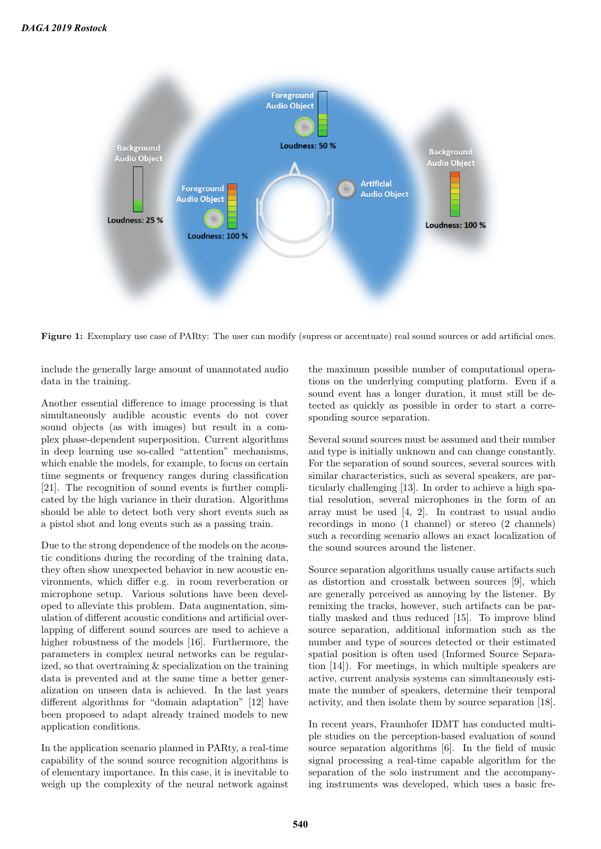

Figure 1: Exemplary use case of PARty: The user can modify (supress or accentuate) real sound sources or add artificial ones.

include the generally large amount of unannotated audio data in the training.

Another essential difference to image processing is that simultaneously audible acoustic events do not cover sound objects (as with images) but result in a complex phase-dependent superposition. Current algorithms in deep learning use so-called "attention" mechanisms, which enable the models, for example, to focus on certain time segments or frequency ranges during classification [21]. The recognition of sound events is further complicated by the high variance in their duration. Algorithms should be able to detect both very short events such as a pistol shot and long events such as a passing train.

Due to the strong dependence of the models on the acoustic conditions during the recording of the training data, they often show unexpected behavior in new acoustic environments, which differ e.g. in room reverberation or microphone setup. Various solutions have been developed to alleviate this problem. Data augmentation, simulation of different acoustic conditions and artificial overlapping of different sound sources are used to achieve a higher robustness of the models [16]. Furthermore, the parameters in complex neural networks can be regularized, so that overtraining & specialization on the training data is prevented and at the same time a better generalization on unseen data is achieved. In the last years different algorithms for "domain adaptation" [12] have been proposed to adapt already trained models to new application conditions.

In the application scenario planned in PARty, a real-time capability of the sound source recognition algorithms is of elementary importance. In this case, it is inevitable to weigh up the complexity of the neural network against

the maximum possible number of computational operations on the underlying computing platform. Even if a sound event has a longer duration, it must still be detected as quickly as possible in order to start a corresponding source separation.

Several sound sources must be assumed and their number and type is initially unknown and can change constantly. For the separation of sound sources, several sources with similar characteristics, such as several speakers, are particularly challenging [13]. In order to achieve a high spatial resolution, several microphones in the form of an array must be used [4, 2]. In contrast to usual audio recordings in mono (1 channel) or stereo (2 channels) such a recording scenario allows an exact localization of the sound sources around the listener.

Source separation algorithms usually cause artifacts such as distortion and crosstalk between sources [9], which are generally perceived as annoying by the listener. By remixing the tracks, however, such artifacts can be partially masked and thus reduced [15]. To improve blind source separation, additional information such as the number and type of sources detected or their estimated spatial position is often used (Informed Source Separation [14]). For meetings, in which multiple speakers are active, current analysis systems can simultaneously estimate the number of speakers, determine their temporal activity, and then isolate them by source separation [18].

In recent years, Fraunhofer IDMT has conducted multiple studies on the perception-based evaluation of sound source separation algorithms [6]. In the field of music signal processing a real-time capable algorithm for the separation of the solo instrument and the accompanying instruments was developed, which uses a basic fre-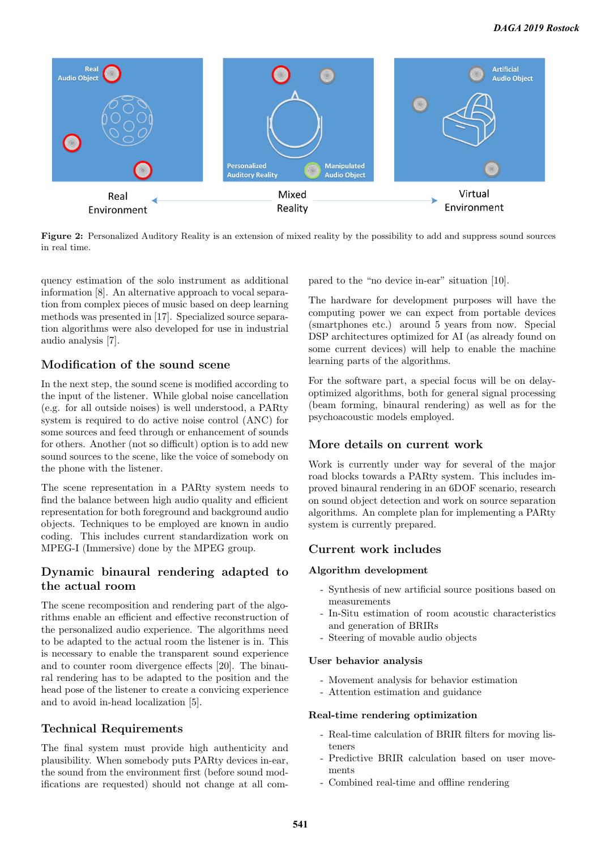

Figure 2: Personalized Auditory Reality is an extension of mixed reality by the possibility to add and suppress sound sources in real time.

quency estimation of the solo instrument as additional information [8]. An alternative approach to vocal separation from complex pieces of music based on deep learning methods was presented in [17]. Specialized source separation algorithms were also developed for use in industrial audio analysis [7].

# Modification of the sound scene

In the next step, the sound scene is modified according to the input of the listener. While global noise cancellation (e.g. for all outside noises) is well understood, a PARty system is required to do active noise control (ANC) for some sources and feed through or enhancement of sounds for others. Another (not so difficult) option is to add new sound sources to the scene, like the voice of somebody on the phone with the listener.

The scene representation in a PARty system needs to find the balance between high audio quality and efficient representation for both foreground and background audio objects. Techniques to be employed are known in audio coding. This includes current standardization work on MPEG-I (Immersive) done by the MPEG group.

## Dynamic binaural rendering adapted to the actual room

The scene recomposition and rendering part of the algorithms enable an efficient and effective reconstruction of the personalized audio experience. The algorithms need to be adapted to the actual room the listener is in. This is necessary to enable the transparent sound experience and to counter room divergence effects [20]. The binaural rendering has to be adapted to the position and the head pose of the listener to create a convicing experience and to avoid in-head localization [5].

# Technical Requirements

The final system must provide high authenticity and plausibility. When somebody puts PARty devices in-ear, the sound from the environment first (before sound modifications are requested) should not change at all compared to the "no device in-ear" situation [10].

The hardware for development purposes will have the computing power we can expect from portable devices (smartphones etc.) around 5 years from now. Special DSP architectures optimized for AI (as already found on some current devices) will help to enable the machine learning parts of the algorithms.

For the software part, a special focus will be on delayoptimized algorithms, both for general signal processing (beam forming, binaural rendering) as well as for the psychoacoustic models employed.

# More details on current work

Work is currently under way for several of the major road blocks towards a PARty system. This includes improved binaural rendering in an 6DOF scenario, research on sound object detection and work on source separation algorithms. An complete plan for implementing a PARty system is currently prepared.

# Current work includes

### Algorithm development

- Synthesis of new artificial source positions based on measurements
- In-Situ estimation of room acoustic characteristics and generation of BRIRs
- Steering of movable audio objects

### User behavior analysis

- Movement analysis for behavior estimation
- Attention estimation and guidance

### Real-time rendering optimization

- Real-time calculation of BRIR filters for moving listeners
- Predictive BRIR calculation based on user movements
- Combined real-time and offline rendering